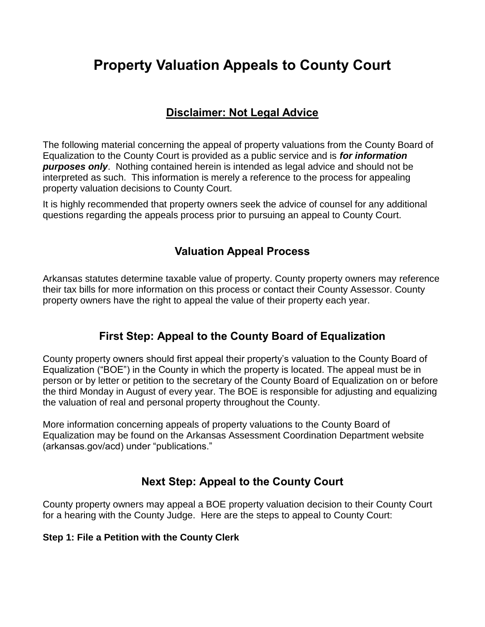# **Property Valuation Appeals to County Court**

# **Disclaimer: Not Legal Advice**

The following material concerning the appeal of property valuations from the County Board of Equalization to the County Court is provided as a public service and is *for information purposes only*. Nothing contained herein is intended as legal advice and should not be interpreted as such. This information is merely a reference to the process for appealing property valuation decisions to County Court.

It is highly recommended that property owners seek the advice of counsel for any additional questions regarding the appeals process prior to pursuing an appeal to County Court.

### **Valuation Appeal Process**

Arkansas statutes determine taxable value of property. County property owners may reference their tax bills for more information on this process or contact their County Assessor. County property owners have the right to appeal the value of their property each year.

# **First Step: Appeal to the County Board of Equalization**

County property owners should first appeal their property's valuation to the County Board of Equalization ("BOE") in the County in which the property is located. The appeal must be in person or by letter or petition to the secretary of the County Board of Equalization on or before the third Monday in August of every year. The BOE is responsible for adjusting and equalizing the valuation of real and personal property throughout the County.

More information concerning appeals of property valuations to the County Board of Equalization may be found on the Arkansas Assessment Coordination Department website (arkansas.gov/acd) under "publications."

# **Next Step: Appeal to the County Court**

County property owners may appeal a BOE property valuation decision to their County Court for a hearing with the County Judge. Here are the steps to appeal to County Court:

#### **Step 1: File a Petition with the County Clerk**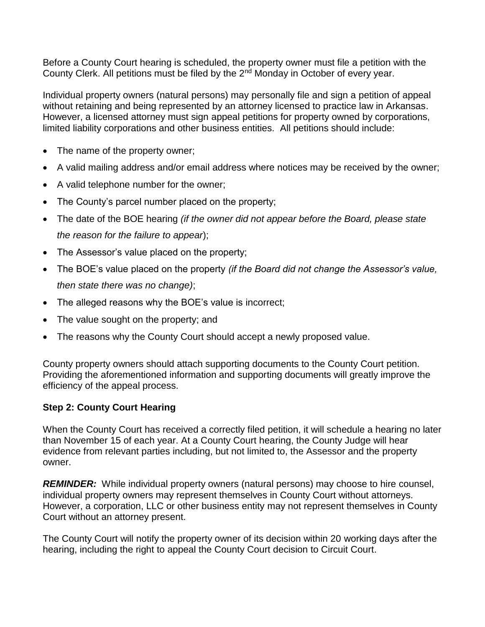Before a County Court hearing is scheduled, the property owner must file a petition with the County Clerk. All petitions must be filed by the 2<sup>nd</sup> Monday in October of every year.

Individual property owners (natural persons) may personally file and sign a petition of appeal without retaining and being represented by an attorney licensed to practice law in Arkansas. However, a licensed attorney must sign appeal petitions for property owned by corporations, limited liability corporations and other business entities. All petitions should include:

- The name of the property owner;
- A valid mailing address and/or email address where notices may be received by the owner;
- A valid telephone number for the owner;
- The County's parcel number placed on the property;
- The date of the BOE hearing *(if the owner did not appear before the Board, please state the reason for the failure to appear*);
- The Assessor's value placed on the property;
- The BOE's value placed on the property *(if the Board did not change the Assessor's value, then state there was no change)*;
- The alleged reasons why the BOE's value is incorrect;
- The value sought on the property; and
- The reasons why the County Court should accept a newly proposed value.

County property owners should attach supporting documents to the County Court petition. Providing the aforementioned information and supporting documents will greatly improve the efficiency of the appeal process.

#### **Step 2: County Court Hearing**

When the County Court has received a correctly filed petition, it will schedule a hearing no later than November 15 of each year. At a County Court hearing, the County Judge will hear evidence from relevant parties including, but not limited to, the Assessor and the property owner.

**REMINDER:** While individual property owners (natural persons) may choose to hire counsel, individual property owners may represent themselves in County Court without attorneys. However, a corporation, LLC or other business entity may not represent themselves in County Court without an attorney present.

The County Court will notify the property owner of its decision within 20 working days after the hearing, including the right to appeal the County Court decision to Circuit Court.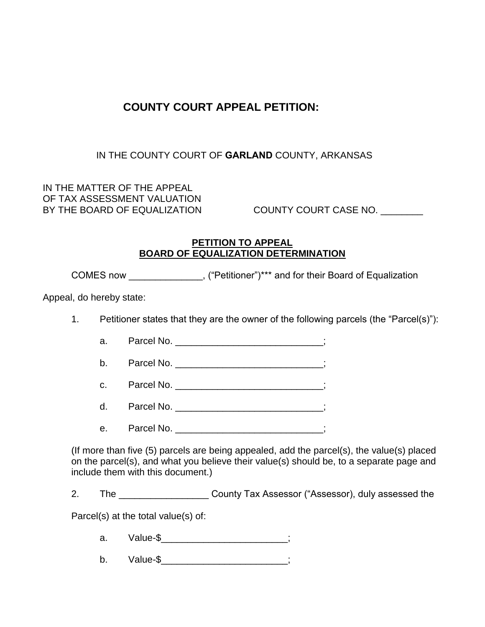# **COUNTY COURT APPEAL PETITION:**

#### IN THE COUNTY COURT OF **GARLAND** COUNTY, ARKANSAS

IN THE MATTER OF THE APPEAL OF TAX ASSESSMENT VALUATION

BY THE BOARD OF EQUALIZATION COUNTY COURT CASE NO.

#### **PETITION TO APPEAL BOARD OF EQUALIZATION DETERMINATION**

COMES now \_\_\_\_\_\_\_\_\_\_\_\_\_\_, ("Petitioner")\*\*\* and for their Board of Equalization

Appeal, do hereby state:

1. Petitioner states that they are the owner of the following parcels (the "Parcel(s)"):

a. Parcel No. 2008 and the control of the control of the control of the control of the control of the control of the control of the control of the control of the control of the control of the control of the control of the

b. Parcel No. \_\_\_\_\_\_\_\_\_\_\_\_\_\_\_\_\_\_\_\_\_\_\_;

c. Parcel No. \_\_\_\_\_\_\_\_\_\_\_\_\_\_\_\_\_\_\_\_\_\_\_\_;

d. Parcel No.  $\vdots$ 

e. Parcel No.  $\vdots$  is a set of  $\vdots$ 

(If more than five (5) parcels are being appealed, add the parcel(s), the value(s) placed on the parcel(s), and what you believe their value(s) should be, to a separate page and include them with this document.)

2. The \_\_\_\_\_\_\_\_\_\_\_\_\_\_\_\_\_\_\_\_\_\_County Tax Assessor ("Assessor), duly assessed the

Parcel(s) at the total value(s) of:

a. Value-\$\_\_\_\_\_\_\_\_\_\_\_\_\_\_\_\_\_\_\_\_\_\_\_;

b. Value-\$\_\_\_\_\_\_\_\_\_\_\_\_\_\_\_\_\_\_\_\_\_\_\_;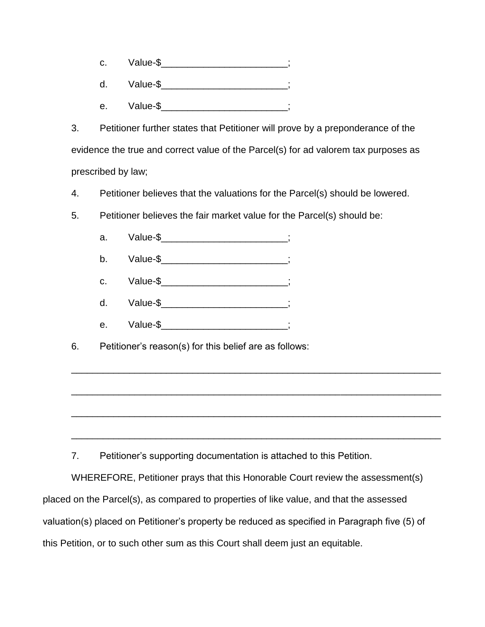- c. Value-\$\_\_\_\_\_\_\_\_\_\_\_\_\_\_\_\_\_\_\_\_\_\_;
- d. Value-\$\_\_\_\_\_\_\_\_\_\_\_\_\_\_\_\_\_\_\_\_;
- e. Value-\$\_\_\_\_\_\_\_\_\_\_\_\_\_\_\_\_\_\_\_\_\_\_\_\_;

3. Petitioner further states that Petitioner will prove by a preponderance of the evidence the true and correct value of the Parcel(s) for ad valorem tax purposes as prescribed by law;

- 4. Petitioner believes that the valuations for the Parcel(s) should be lowered.
- 5. Petitioner believes the fair market value for the Parcel(s) should be:
	- a. Value-\$
	- b. Value-\$\_\_\_\_\_\_\_\_\_\_\_\_\_\_\_\_\_\_\_\_\_\_;
	- c. Value-\$ ;
	- d. Value-\$\_\_\_\_\_\_\_\_\_\_\_\_\_\_\_\_\_\_\_\_\_\_;
	- e. Value-\$\_\_\_\_\_\_\_\_\_\_\_\_\_\_\_\_\_\_\_\_\_\_\_\_;
- 6. Petitioner's reason(s) for this belief are as follows:

7. Petitioner's supporting documentation is attached to this Petition.

WHEREFORE, Petitioner prays that this Honorable Court review the assessment(s) placed on the Parcel(s), as compared to properties of like value, and that the assessed valuation(s) placed on Petitioner's property be reduced as specified in Paragraph five (5) of this Petition, or to such other sum as this Court shall deem just an equitable.

\_\_\_\_\_\_\_\_\_\_\_\_\_\_\_\_\_\_\_\_\_\_\_\_\_\_\_\_\_\_\_\_\_\_\_\_\_\_\_\_\_\_\_\_\_\_\_\_\_\_\_\_\_\_\_\_\_\_\_\_\_\_\_\_\_\_\_\_\_\_

\_\_\_\_\_\_\_\_\_\_\_\_\_\_\_\_\_\_\_\_\_\_\_\_\_\_\_\_\_\_\_\_\_\_\_\_\_\_\_\_\_\_\_\_\_\_\_\_\_\_\_\_\_\_\_\_\_\_\_\_\_\_\_\_\_\_\_\_\_\_

\_\_\_\_\_\_\_\_\_\_\_\_\_\_\_\_\_\_\_\_\_\_\_\_\_\_\_\_\_\_\_\_\_\_\_\_\_\_\_\_\_\_\_\_\_\_\_\_\_\_\_\_\_\_\_\_\_\_\_\_\_\_\_\_\_\_\_\_\_\_

\_\_\_\_\_\_\_\_\_\_\_\_\_\_\_\_\_\_\_\_\_\_\_\_\_\_\_\_\_\_\_\_\_\_\_\_\_\_\_\_\_\_\_\_\_\_\_\_\_\_\_\_\_\_\_\_\_\_\_\_\_\_\_\_\_\_\_\_\_\_